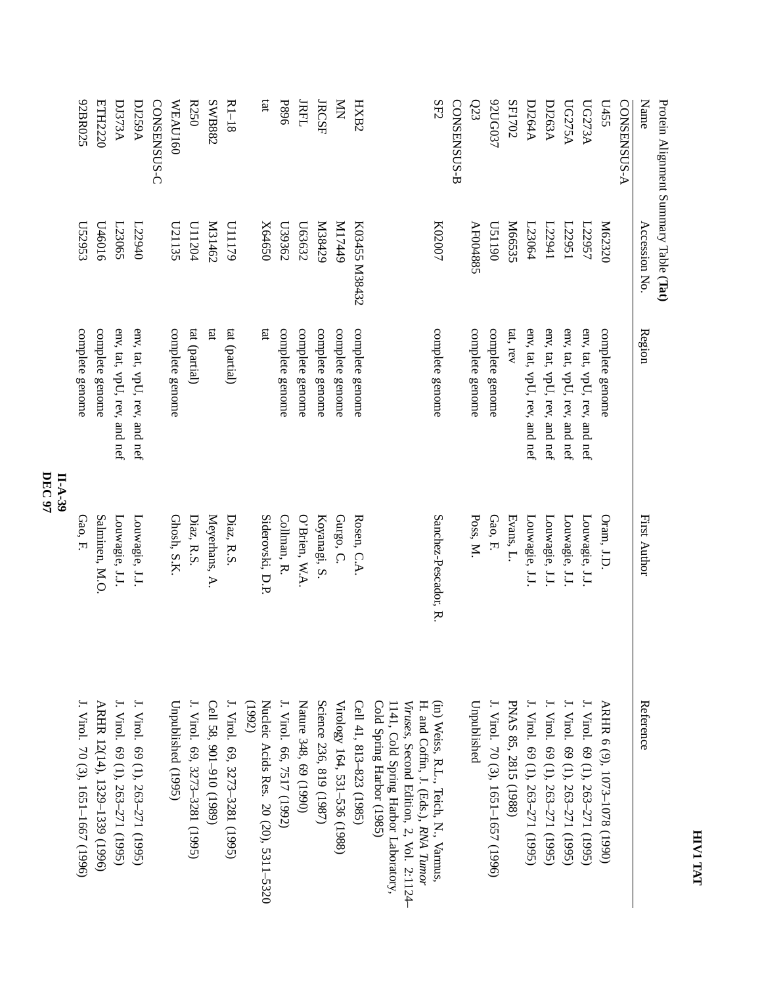| Protein Alignment Summary Table (Tat) |               |                             |                      |                                                                                                                                                                                             |
|---------------------------------------|---------------|-----------------------------|----------------------|---------------------------------------------------------------------------------------------------------------------------------------------------------------------------------------------|
| Name                                  | Accession No. | Region                      | First Author         | Reference                                                                                                                                                                                   |
| CONSENSUS-A                           |               |                             |                      |                                                                                                                                                                                             |
| <b>U455</b>                           | M62320        | complete genome             | Oram, J.D.           | ARHR 6 (9), 1073-1078 (1990)                                                                                                                                                                |
| <b>UG273A</b>                         | L22957        | env, tat, vpU, rev, and nef | Louwagie, J.J        | J. Virol. 69 (1), 263–271 (1995)                                                                                                                                                            |
| <b>UG275A</b>                         | L22951        | env, tat, vpU, rev, and nef | Louwagie, J.J.       | J. Virol. 69 (1), 263–271 (1995)                                                                                                                                                            |
| <b>DJ263A</b>                         | L22941        | env, tat, vpU, rev, and nef | Louwagie, J.J        |                                                                                                                                                                                             |
| DJ264A                                | L23064        | env, tat, vpU, rev, and nef | Louwagie, J.J        | J. Virol. 69 (1), 263–271 (1995)<br>J. Virol. 69 (1), 263–271 (1995)                                                                                                                        |
| SF1702                                | M66535        | tat, rev                    | Evans, L.            | PNAS 85, 2815 (1988)                                                                                                                                                                        |
| ACCO37                                | 061150        | complete genome             | Gao, F.              | J. Virol. 70 (3), 1651-1657 (1996)                                                                                                                                                          |
| Q23                                   | AF004885      | complete genome             | Poss, M.             | Unpublished                                                                                                                                                                                 |
| CONSENSUS-B                           |               |                             |                      |                                                                                                                                                                                             |
| SF2                                   | K02007        | complete genome             | Sanchez-Pescador, R. | H. and Coffin, J. (Eds.), RNA Tumor<br>Cold Spring Harbor (1985)<br>Viruses, Second Edition, 2, Vol. 2:1124-<br>(in) Weiss, R.L., Teich, N., Varmus<br>1141, Cold Spring Harbor Laboratory, |
| HXB2                                  | K03455 M38432 | complete genome             | Rosen, C.A.          | Cell 41, 813-823 (1985)                                                                                                                                                                     |
| $\mathop{\rm s}\nolimits$             | 6ttLIM        | complete genome             | Gurgo, C.            | Virology 164, 531-536 (1988)                                                                                                                                                                |
| <b>JRCSF</b>                          | N38429        | complete genome             | Koyanagi, S.         | Science 236, 819 (1987)                                                                                                                                                                     |
| <b>IRFL</b>                           | L63632        | complete genome             | O'Brien, W.A.        | Nature 348, 69 (1990)                                                                                                                                                                       |
| <b>P896</b>                           | L39362        | complete genome             | Collman, R.          | J. Virol. 66, 7517 (1992)                                                                                                                                                                   |
| iat                                   | X64650        | 1gt                         | Siderovski, D.P.     | (1992)<br>Nucleic Acids Res. 20 (20), 5311-5320                                                                                                                                             |
| $R1-18$                               | U1179         | tat (partial)               | Diaz, R.S.           | J. Virol. 69, 3273-3281 (1995)                                                                                                                                                              |
| <b>SWB882</b>                         | K31462        | 1gt                         | Meyerhans, A.        | Cell 58, 901-910 (1989)                                                                                                                                                                     |
| R250                                  | L11204        | tat (partial)               | Diaz, R.S.           | J. Virol. 69, 3273-3281 (1995)                                                                                                                                                              |
| WEAU160                               | L21135        | complete genome             | Ghosh, S.K.          | Unpublished (1995)                                                                                                                                                                          |
| CONSENSUS-C                           |               |                             |                      |                                                                                                                                                                                             |
| <b>DI259A</b>                         | L22940        | env, tat, vpU, rev, and nef | Louwagie, J.J.       | J. Virol. 69 (1), 263-271 (1995)                                                                                                                                                            |
| <b>DJ373A</b>                         | L23065        | env, tat, vpU, rev, and nef | Louwagie, J.J.       | J. Virol. 69 (1), 263-271 (1995)                                                                                                                                                            |
| <b>ETH2220</b>                        | 010016        | complete genome             | Salminen, M.O.       | ARHR 12(14), 1329-1339 (1996)                                                                                                                                                               |
| 92BR025                               | ES6233        | complete genome             | Gao, F.              | J. Virol. 70 (3), 1651-1667 (1996)                                                                                                                                                          |
|                                       |               |                             |                      |                                                                                                                                                                                             |

**HIV1 TAT**

**DEC 97 II-A-39**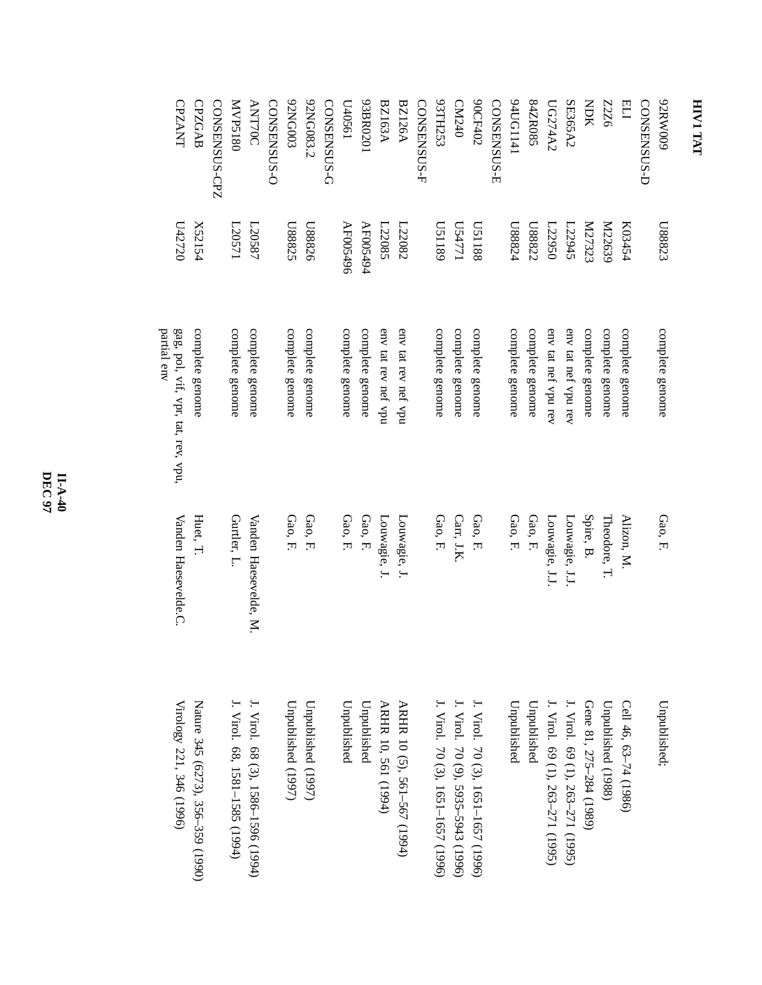| 62NG003<br>92NG083.2<br>93BR0201<br>SSCHLS5<br>90CF402<br>1711911 <sub>41</sub><br>600MB76<br><b>MVP5180</b><br>CONSENSUS-O<br>CONSENSUS-G<br>L40561<br>CONSENSUS-F<br>CM240<br>S4ZR085<br>SE365A2<br><b>CPZGAB</b><br>CONSENSUS-CPZ<br><b>ANT70C</b><br><b>BZ163A</b><br><b>BZ126A</b><br>CONSENSUS-E<br>UG274A2<br>NDK<br>CONSENSUS-D<br><b>ZZZZ</b><br>凹<br>K27323<br>N22639<br>L88823<br>X52154<br>AF005494<br>L22085<br><b>US1189</b><br>L24771<br><b>U51188</b><br>L20571<br>L20587<br>U88825<br>U88826<br>AF005496<br>L22082<br><b>LS8824</b><br>L88822<br>L22950<br>K03454<br>122945<br>env tat nef vpu rev<br>complete genome<br>complete genome<br>complete genome<br>complete genome<br>complete genome<br>complete genome<br>complete genome<br>env tat rev nef vpu<br>env tat rev nef vpu<br>complete genome<br>complete genome<br>env tat nef vpu rev<br>complete genome<br>complete genome<br>complete genome<br>complete genome<br>complete genome<br>complete genome<br>complete genome<br>Spire, B.<br>Gurtler, L.<br>Gao, F.<br>Gao, F.<br>Gao, F.<br>Gao, F.<br>Huet, T.<br>Gao, F.<br>Gao, F.<br>Gao, F.<br>Louwagie, J<br>Louwagie, J.<br>Carr, J.K.<br>Gao, F.<br>Gao, F.<br>Louwagie, J.J<br>Theodore, T.<br>Vanden Haesevelde, M.<br>Louwagie, J.J<br>Alizon, M.<br>J. Virol. 70 (3), 1651-1657 (1996)<br>J. Virol. 70 (9), 5935-5943 (1996)<br>Nature 345 (6273), 356–359 (1990)<br>J. Virol. 68, 1581-1585 (1994)<br>Unpublished;<br>J. Virol. 68 (3), 1586–1596 (1994)<br>ARHR 10, 561 (1994)<br>ARHR 10 (5), 561-567 (1994)<br>J. Virol. 70 (3), 1651–1657 (1996)<br>J. Virol. 69 (1), 263–271 (1995)<br>Gene 81, 275-284 (1989)<br>Unpublished (1988)<br>Cell 46, 63-74 (1986)<br>Unpublished (1997)<br>Unpublished (1997)<br>Unpublished<br>Unpublished<br>Unpublished<br>Unpublished<br>J. Virol. 69 (1), 263–271 (1995) | Virology 221, 346 (1996) | Vanden Haesevelde.C. | gag, pol, vif, vpr, tat, rev, vpu,<br>partial env | U42720 | <b>CPZANT</b> |
|----------------------------------------------------------------------------------------------------------------------------------------------------------------------------------------------------------------------------------------------------------------------------------------------------------------------------------------------------------------------------------------------------------------------------------------------------------------------------------------------------------------------------------------------------------------------------------------------------------------------------------------------------------------------------------------------------------------------------------------------------------------------------------------------------------------------------------------------------------------------------------------------------------------------------------------------------------------------------------------------------------------------------------------------------------------------------------------------------------------------------------------------------------------------------------------------------------------------------------------------------------------------------------------------------------------------------------------------------------------------------------------------------------------------------------------------------------------------------------------------------------------------------------------------------------------------------------------------------------------------------------------------------------------------------------------------------------------------------------------------------------------------------------------------------------------------------------------------------------|--------------------------|----------------------|---------------------------------------------------|--------|---------------|
|                                                                                                                                                                                                                                                                                                                                                                                                                                                                                                                                                                                                                                                                                                                                                                                                                                                                                                                                                                                                                                                                                                                                                                                                                                                                                                                                                                                                                                                                                                                                                                                                                                                                                                                                                                                                                                                          |                          |                      |                                                   |        |               |
|                                                                                                                                                                                                                                                                                                                                                                                                                                                                                                                                                                                                                                                                                                                                                                                                                                                                                                                                                                                                                                                                                                                                                                                                                                                                                                                                                                                                                                                                                                                                                                                                                                                                                                                                                                                                                                                          |                          |                      |                                                   |        |               |
|                                                                                                                                                                                                                                                                                                                                                                                                                                                                                                                                                                                                                                                                                                                                                                                                                                                                                                                                                                                                                                                                                                                                                                                                                                                                                                                                                                                                                                                                                                                                                                                                                                                                                                                                                                                                                                                          |                          |                      |                                                   |        |               |
|                                                                                                                                                                                                                                                                                                                                                                                                                                                                                                                                                                                                                                                                                                                                                                                                                                                                                                                                                                                                                                                                                                                                                                                                                                                                                                                                                                                                                                                                                                                                                                                                                                                                                                                                                                                                                                                          |                          |                      |                                                   |        |               |
|                                                                                                                                                                                                                                                                                                                                                                                                                                                                                                                                                                                                                                                                                                                                                                                                                                                                                                                                                                                                                                                                                                                                                                                                                                                                                                                                                                                                                                                                                                                                                                                                                                                                                                                                                                                                                                                          |                          |                      |                                                   |        |               |
|                                                                                                                                                                                                                                                                                                                                                                                                                                                                                                                                                                                                                                                                                                                                                                                                                                                                                                                                                                                                                                                                                                                                                                                                                                                                                                                                                                                                                                                                                                                                                                                                                                                                                                                                                                                                                                                          |                          |                      |                                                   |        |               |
|                                                                                                                                                                                                                                                                                                                                                                                                                                                                                                                                                                                                                                                                                                                                                                                                                                                                                                                                                                                                                                                                                                                                                                                                                                                                                                                                                                                                                                                                                                                                                                                                                                                                                                                                                                                                                                                          |                          |                      |                                                   |        |               |
|                                                                                                                                                                                                                                                                                                                                                                                                                                                                                                                                                                                                                                                                                                                                                                                                                                                                                                                                                                                                                                                                                                                                                                                                                                                                                                                                                                                                                                                                                                                                                                                                                                                                                                                                                                                                                                                          |                          |                      |                                                   |        |               |
|                                                                                                                                                                                                                                                                                                                                                                                                                                                                                                                                                                                                                                                                                                                                                                                                                                                                                                                                                                                                                                                                                                                                                                                                                                                                                                                                                                                                                                                                                                                                                                                                                                                                                                                                                                                                                                                          |                          |                      |                                                   |        |               |
|                                                                                                                                                                                                                                                                                                                                                                                                                                                                                                                                                                                                                                                                                                                                                                                                                                                                                                                                                                                                                                                                                                                                                                                                                                                                                                                                                                                                                                                                                                                                                                                                                                                                                                                                                                                                                                                          |                          |                      |                                                   |        |               |
|                                                                                                                                                                                                                                                                                                                                                                                                                                                                                                                                                                                                                                                                                                                                                                                                                                                                                                                                                                                                                                                                                                                                                                                                                                                                                                                                                                                                                                                                                                                                                                                                                                                                                                                                                                                                                                                          |                          |                      |                                                   |        |               |
|                                                                                                                                                                                                                                                                                                                                                                                                                                                                                                                                                                                                                                                                                                                                                                                                                                                                                                                                                                                                                                                                                                                                                                                                                                                                                                                                                                                                                                                                                                                                                                                                                                                                                                                                                                                                                                                          |                          |                      |                                                   |        |               |
|                                                                                                                                                                                                                                                                                                                                                                                                                                                                                                                                                                                                                                                                                                                                                                                                                                                                                                                                                                                                                                                                                                                                                                                                                                                                                                                                                                                                                                                                                                                                                                                                                                                                                                                                                                                                                                                          |                          |                      |                                                   |        |               |
|                                                                                                                                                                                                                                                                                                                                                                                                                                                                                                                                                                                                                                                                                                                                                                                                                                                                                                                                                                                                                                                                                                                                                                                                                                                                                                                                                                                                                                                                                                                                                                                                                                                                                                                                                                                                                                                          |                          |                      |                                                   |        |               |
|                                                                                                                                                                                                                                                                                                                                                                                                                                                                                                                                                                                                                                                                                                                                                                                                                                                                                                                                                                                                                                                                                                                                                                                                                                                                                                                                                                                                                                                                                                                                                                                                                                                                                                                                                                                                                                                          |                          |                      |                                                   |        |               |
|                                                                                                                                                                                                                                                                                                                                                                                                                                                                                                                                                                                                                                                                                                                                                                                                                                                                                                                                                                                                                                                                                                                                                                                                                                                                                                                                                                                                                                                                                                                                                                                                                                                                                                                                                                                                                                                          |                          |                      |                                                   |        |               |
|                                                                                                                                                                                                                                                                                                                                                                                                                                                                                                                                                                                                                                                                                                                                                                                                                                                                                                                                                                                                                                                                                                                                                                                                                                                                                                                                                                                                                                                                                                                                                                                                                                                                                                                                                                                                                                                          |                          |                      |                                                   |        |               |
|                                                                                                                                                                                                                                                                                                                                                                                                                                                                                                                                                                                                                                                                                                                                                                                                                                                                                                                                                                                                                                                                                                                                                                                                                                                                                                                                                                                                                                                                                                                                                                                                                                                                                                                                                                                                                                                          |                          |                      |                                                   |        |               |
|                                                                                                                                                                                                                                                                                                                                                                                                                                                                                                                                                                                                                                                                                                                                                                                                                                                                                                                                                                                                                                                                                                                                                                                                                                                                                                                                                                                                                                                                                                                                                                                                                                                                                                                                                                                                                                                          |                          |                      |                                                   |        |               |
|                                                                                                                                                                                                                                                                                                                                                                                                                                                                                                                                                                                                                                                                                                                                                                                                                                                                                                                                                                                                                                                                                                                                                                                                                                                                                                                                                                                                                                                                                                                                                                                                                                                                                                                                                                                                                                                          |                          |                      |                                                   |        |               |
|                                                                                                                                                                                                                                                                                                                                                                                                                                                                                                                                                                                                                                                                                                                                                                                                                                                                                                                                                                                                                                                                                                                                                                                                                                                                                                                                                                                                                                                                                                                                                                                                                                                                                                                                                                                                                                                          |                          |                      |                                                   |        |               |
|                                                                                                                                                                                                                                                                                                                                                                                                                                                                                                                                                                                                                                                                                                                                                                                                                                                                                                                                                                                                                                                                                                                                                                                                                                                                                                                                                                                                                                                                                                                                                                                                                                                                                                                                                                                                                                                          |                          |                      |                                                   |        |               |
|                                                                                                                                                                                                                                                                                                                                                                                                                                                                                                                                                                                                                                                                                                                                                                                                                                                                                                                                                                                                                                                                                                                                                                                                                                                                                                                                                                                                                                                                                                                                                                                                                                                                                                                                                                                                                                                          |                          |                      |                                                   |        |               |
|                                                                                                                                                                                                                                                                                                                                                                                                                                                                                                                                                                                                                                                                                                                                                                                                                                                                                                                                                                                                                                                                                                                                                                                                                                                                                                                                                                                                                                                                                                                                                                                                                                                                                                                                                                                                                                                          |                          |                      |                                                   |        |               |
|                                                                                                                                                                                                                                                                                                                                                                                                                                                                                                                                                                                                                                                                                                                                                                                                                                                                                                                                                                                                                                                                                                                                                                                                                                                                                                                                                                                                                                                                                                                                                                                                                                                                                                                                                                                                                                                          |                          |                      |                                                   |        |               |
|                                                                                                                                                                                                                                                                                                                                                                                                                                                                                                                                                                                                                                                                                                                                                                                                                                                                                                                                                                                                                                                                                                                                                                                                                                                                                                                                                                                                                                                                                                                                                                                                                                                                                                                                                                                                                                                          |                          |                      |                                                   |        |               |

**HIV1 TAT**

**DEC 97 II-A-40**